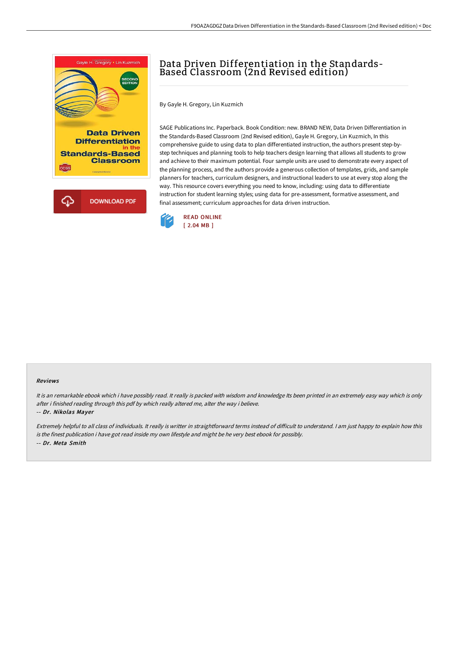

# Data Driven Differentiation in the Standards-Based Classroom (2nd Revised edition)

By Gayle H. Gregory, Lin Kuzmich

SAGE Publications Inc. Paperback. Book Condition: new. BRAND NEW, Data Driven Differentiation in the Standards-Based Classroom (2nd Revised edition), Gayle H. Gregory, Lin Kuzmich, In this comprehensive guide to using data to plan differentiated instruction, the authors present step-bystep techniques and planning tools to help teachers design learning that allows all students to grow and achieve to their maximum potential. Four sample units are used to demonstrate every aspect of the planning process, and the authors provide a generous collection of templates, grids, and sample planners for teachers, curriculum designers, and instructional leaders to use at every stop along the way. This resource covers everything you need to know, including: using data to differentiate instruction for student learning styles; using data for pre-assessment, formative assessment, and final assessment; curriculum approaches for data driven instruction.



#### Reviews

It is an remarkable ebook which i have possibly read. It really is packed with wisdom and knowledge Its been printed in an extremely easy way which is only after i finished reading through this pdf by which really altered me, alter the way i believe.

#### -- Dr. Nikolas Mayer

Extremely helpful to all class of individuals. It really is writter in straightforward terms instead of difficult to understand. I am just happy to explain how this is the finest publication i have got read inside my own lifestyle and might be he very best ebook for possibly. -- Dr. Meta Smith